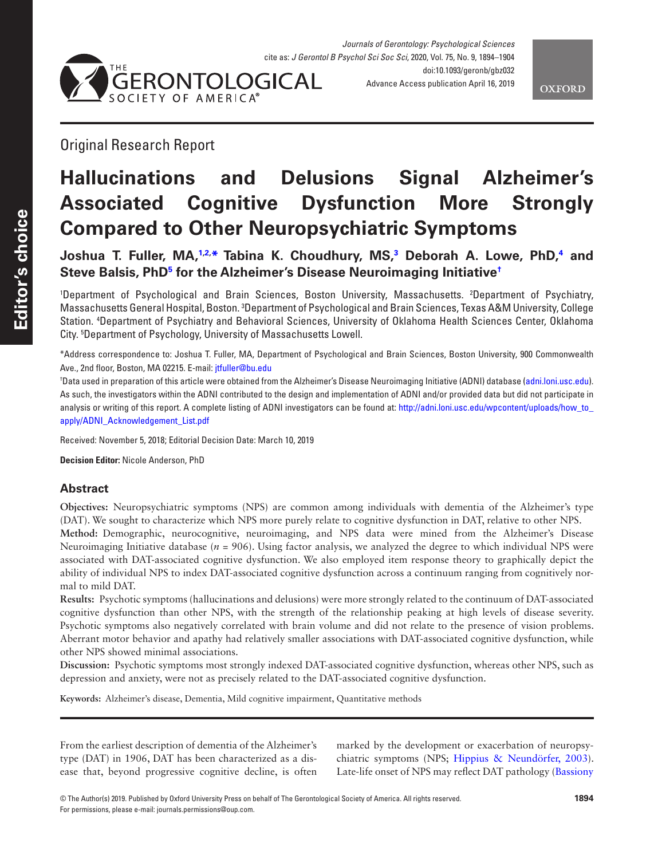



Original Research Report

# **Hallucinations and Delusions Signal Alzheimer's Associated Cognitive Dysfunction More Strongly Compared to Other Neuropsychiatric Symptoms**

**Joshua T. Fuller, MA,[1,](#page-0-0)[2](#page-0-1), [\\*](#page-0-2) Tabina K. Choudhury, MS,[3](#page-0-3) Deborah A. Lowe, PhD,[4](#page-0-4) and Steve Balsis, Ph[D5](#page-0-5) for the Alzheimer's Disease Neuroimaging Initiative[†](#page-0-6)**

<span id="page-0-4"></span><span id="page-0-3"></span><span id="page-0-1"></span><span id="page-0-0"></span>1 Department of Psychological and Brain Sciences, Boston University, Massachusetts. 2 Department of Psychiatry, Massachusetts General Hospital, Boston. <sup>3</sup>Department of Psychological and Brain Sciences, Texas A&M University, College Station. 4 Department of Psychiatry and Behavioral Sciences, University of Oklahoma Health Sciences Center, Oklahoma City. 5 Department of Psychology, University of Massachusetts Lowell.

<span id="page-0-5"></span><span id="page-0-2"></span>\*Address correspondence to: Joshua T. Fuller, MA, Department of Psychological and Brain Sciences, Boston University, 900 Commonwealth Ave., 2nd floor, Boston, MA 02215. E-mail: [jtfuller@bu.edu](mailto:jtfuller@bu.edu?subject=)

<span id="page-0-6"></span>† Data used in preparation of this article were obtained from the Alzheimer's Disease Neuroimaging Initiative (ADNI) database ([adni.loni.usc.edu](http://adni.loni.usc.edu)). As such, the investigators within the ADNI contributed to the design and implementation of ADNI and/or provided data but did not participate in analysis or writing of this report. A complete listing of ADNI investigators can be found at: http://adni.loni.usc.edu/wpcontent/uploads/how to [apply/ADNI\\_Acknowledgement\\_List.pdf](http://adni.loni.usc.edu/wpcontent/uploads/how_to_apply/ADNI_Acknowledgement_List.pdf)

Received: November 5, 2018; Editorial Decision Date: March 10, 2019

**Decision Editor:** Nicole Anderson, PhD

# **Abstract**

**Objectives:** Neuropsychiatric symptoms (NPS) are common among individuals with dementia of the Alzheimer's type (DAT). We sought to characterize which NPS more purely relate to cognitive dysfunction in DAT, relative to other NPS. **Method:** Demographic, neurocognitive, neuroimaging, and NPS data were mined from the Alzheimer's Disease Neuroimaging Initiative database (*n* = 906). Using factor analysis, we analyzed the degree to which individual NPS were associated with DAT-associated cognitive dysfunction. We also employed item response theory to graphically depict the ability of individual NPS to index DAT-associated cognitive dysfunction across a continuum ranging from cognitively normal to mild DAT.

**Results:** Psychotic symptoms (hallucinations and delusions) were more strongly related to the continuum of DAT-associated cognitive dysfunction than other NPS, with the strength of the relationship peaking at high levels of disease severity. Psychotic symptoms also negatively correlated with brain volume and did not relate to the presence of vision problems. Aberrant motor behavior and apathy had relatively smaller associations with DAT-associated cognitive dysfunction, while other NPS showed minimal associations.

**Discussion:** Psychotic symptoms most strongly indexed DAT-associated cognitive dysfunction, whereas other NPS, such as depression and anxiety, were not as precisely related to the DAT-associated cognitive dysfunction.

**Keywords:** Alzheimer's disease, Dementia, Mild cognitive impairment, Quantitative methods

From the earliest description of dementia of the Alzheimer's type (DAT) in 1906, DAT has been characterized as a disease that, beyond progressive cognitive decline, is often

marked by the development or exacerbation of neuropsychiatric symptoms (NPS; [Hippius & Neundörfer, 2003](#page-9-0)). Late-life onset of NPS may reflect DAT pathology ([Bassiony](#page-8-0)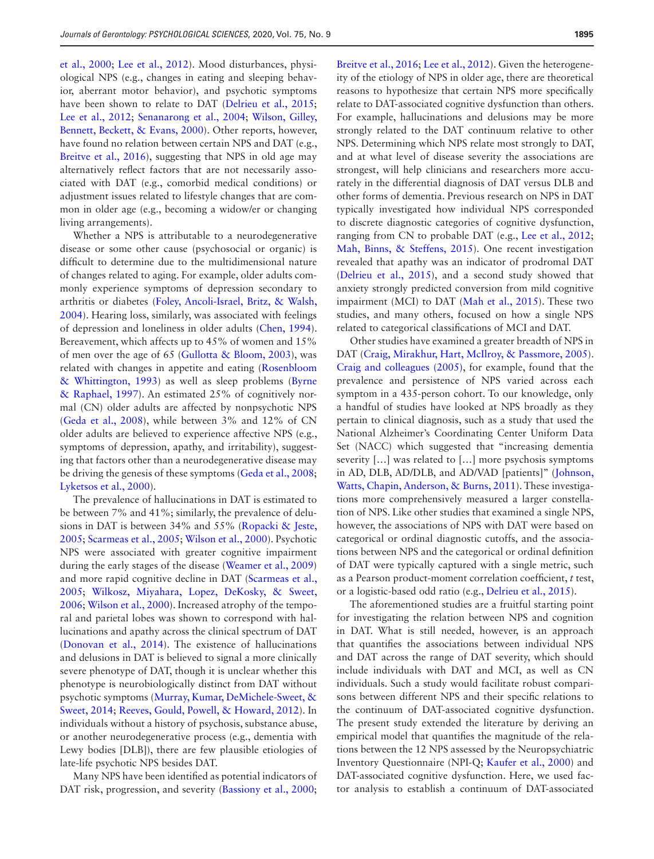[et al., 2000](#page-8-0); [Lee et al., 2012\)](#page-9-1). Mood disturbances, physiological NPS (e.g., changes in eating and sleeping behavior, aberrant motor behavior), and psychotic symptoms have been shown to relate to DAT (Delrieu et al., 2015; [Lee et al., 2012](#page-9-1); [Senanarong et al., 2004;](#page-10-0) [Wilson, Gilley,](#page-10-1)  [Bennett, Beckett, & Evans, 2000](#page-10-1)). Other reports, however, have found no relation between certain NPS and DAT (e.g., [Breitve et al., 2016\)](#page-8-1), suggesting that NPS in old age may alternatively reflect factors that are not necessarily associated with DAT (e.g., comorbid medical conditions) or adjustment issues related to lifestyle changes that are common in older age (e.g., becoming a widow/er or changing living arrangements).

Whether a NPS is attributable to a neurodegenerative disease or some other cause (psychosocial or organic) is difficult to determine due to the multidimensional nature of changes related to aging. For example, older adults commonly experience symptoms of depression secondary to arthritis or diabetes ([Foley, Ancoli-Israel, Britz, & Walsh,](#page-9-3)  [2004](#page-9-3)). Hearing loss, similarly, was associated with feelings of depression and loneliness in older adults [\(Chen, 1994](#page-8-2)). Bereavement, which affects up to 45% of women and 15% of men over the age of 65 [\(Gullotta & Bloom, 2003\)](#page-9-4), was related with changes in appetite and eating [\(Rosenbloom](#page-10-2)  [& Whittington, 1993](#page-10-2)) as well as sleep problems ([Byrne](#page-8-3)  [& Raphael, 1997\)](#page-8-3). An estimated 25% of cognitively normal (CN) older adults are affected by nonpsychotic NPS (Geda et al., 2008), while between  $3\%$  and  $12\%$  of CN older adults are believed to experience affective NPS (e.g., symptoms of depression, apathy, and irritability), suggesting that factors other than a neurodegenerative disease may be driving the genesis of these symptoms ([Geda et al., 2008](#page-9-5); [Lyketsos et al., 2000\)](#page-9-6).

The prevalence of hallucinations in DAT is estimated to be between 7% and 41%; similarly, the prevalence of delusions in DAT is between 34% and 55% [\(Ropacki & Jeste,](#page-10-3)  [2005](#page-10-3); [Scarmeas et al., 2005;](#page-10-4) [Wilson et al., 2000](#page-10-1)). Psychotic NPS were associated with greater cognitive impairment during the early stages of the disease [\(Weamer et al., 2009\)](#page-10-5) and more rapid cognitive decline in DAT [\(Scarmeas et al.,](#page-10-4)  [2005](#page-10-4); [Wilkosz, Miyahara, Lopez, DeKosky, & Sweet,](#page-10-6)  [2006](#page-10-6); [Wilson et al., 2000](#page-10-1)). Increased atrophy of the temporal and parietal lobes was shown to correspond with hallucinations and apathy across the clinical spectrum of DAT ([Donovan et al., 2014\)](#page-9-7). The existence of hallucinations and delusions in DAT is believed to signal a more clinically severe phenotype of DAT, though it is unclear whether this phenotype is neurobiologically distinct from DAT without psychotic symptoms [\(Murray, Kumar, DeMichele-Sweet, &](#page-10-7)  [Sweet, 2014](#page-10-7); [Reeves, Gould, Powell, & Howard, 2012](#page-10-8)). In individuals without a history of psychosis, substance abuse, or another neurodegenerative process (e.g., dementia with Lewy bodies [DLB]), there are few plausible etiologies of late-life psychotic NPS besides DAT.

Many NPS have been identified as potential indicators of DAT risk, progression, and severity [\(Bassiony et al., 2000](#page-8-0);

[Breitve et al., 2016;](#page-8-1) [Lee et al., 2012](#page-9-1)). Given the heterogeneity of the etiology of NPS in older age, there are theoretical reasons to hypothesize that certain NPS more specifically relate to DAT-associated cognitive dysfunction than others. For example, hallucinations and delusions may be more strongly related to the DAT continuum relative to other NPS. Determining which NPS relate most strongly to DAT, and at what level of disease severity the associations are strongest, will help clinicians and researchers more accurately in the differential diagnosis of DAT versus DLB and other forms of dementia. Previous research on NPS in DAT typically investigated how individual NPS corresponded to discrete diagnostic categories of cognitive dysfunction, ranging from CN to probable DAT (e.g., [Lee et al., 2012](#page-9-1); [Mah, Binns, & Steffens, 2015\)](#page-9-8). One recent investigation revealed that apathy was an indicator of prodromal DAT ([Delrieu et al., 2015\)](#page-9-2), and a second study showed that anxiety strongly predicted conversion from mild cognitive impairment (MCI) to DAT ([Mah et al., 2015](#page-9-8)). These two studies, and many others, focused on how a single NPS related to categorical classifications of MCI and DAT.

Other studies have examined a greater breadth of NPS in DAT [\(Craig, Mirakhur, Hart, McIlroy, & Passmore, 2005](#page-8-4)). [Craig and colleagues \(2005\),](#page-8-4) for example, found that the prevalence and persistence of NPS varied across each symptom in a 435-person cohort. To our knowledge, only a handful of studies have looked at NPS broadly as they pertain to clinical diagnosis, such as a study that used the National Alzheimer's Coordinating Center Uniform Data Set (NACC) which suggested that "increasing dementia severity […] was related to […] more psychosis symptoms in AD, DLB, AD/DLB, and AD/VAD [patients]" [\(Johnson,](#page-9-9)  [Watts, Chapin, Anderson, & Burns, 2011\)](#page-9-9). These investigations more comprehensively measured a larger constellation of NPS. Like other studies that examined a single NPS, however, the associations of NPS with DAT were based on categorical or ordinal diagnostic cutoffs, and the associations between NPS and the categorical or ordinal definition of DAT were typically captured with a single metric, such as a Pearson product-moment correlation coefficient, *t* test, or a logistic-based odd ratio (e.g., [Delrieu et al., 2015\)](#page-9-2).

The aforementioned studies are a fruitful starting point for investigating the relation between NPS and cognition in DAT. What is still needed, however, is an approach that quantifies the associations between individual NPS and DAT across the range of DAT severity, which should include individuals with DAT and MCI, as well as CN individuals. Such a study would facilitate robust comparisons between different NPS and their specific relations to the continuum of DAT-associated cognitive dysfunction. The present study extended the literature by deriving an empirical model that quantifies the magnitude of the relations between the 12 NPS assessed by the Neuropsychiatric Inventory Questionnaire (NPI-Q; [Kaufer et al., 2000\)](#page-9-10) and DAT-associated cognitive dysfunction. Here, we used factor analysis to establish a continuum of DAT-associated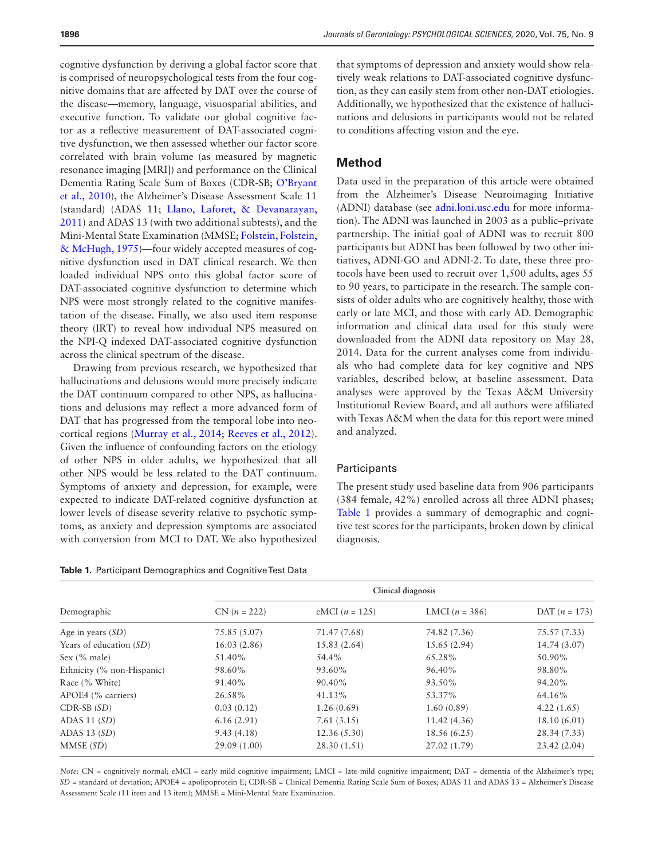cognitive dysfunction by deriving a global factor score that is comprised of neuropsychological tests from the four cognitive domains that are affected by DAT over the course of the disease—memory, language, visuospatial abilities, and executive function. To validate our global cognitive factor as a reflective measurement of DAT-associated cognitive dysfunction, we then assessed whether our factor score correlated with brain volume (as measured by magnetic resonance imaging [MRI]) and performance on the Clinical Dementia Rating Scale Sum of Boxes (CDR-SB; [O'Bryant](#page-10-9)  [et al., 2010\)](#page-10-9), the Alzheimer's Disease Assessment Scale 11 (standard) (ADAS 11; [Llano, Laforet, & Devanarayan,](#page-9-11)  [2011](#page-9-11)) and ADAS 13 (with two additional subtests), and the Mini-Mental State Examination (MMSE; [Folstein, Folstein,](#page-9-12)  [& McHugh, 1975](#page-9-12))—four widely accepted measures of cognitive dysfunction used in DAT clinical research. We then loaded individual NPS onto this global factor score of DAT-associated cognitive dysfunction to determine which NPS were most strongly related to the cognitive manifestation of the disease. Finally, we also used item response theory (IRT) to reveal how individual NPS measured on the NPI-Q indexed DAT-associated cognitive dysfunction across the clinical spectrum of the disease.

Drawing from previous research, we hypothesized that hallucinations and delusions would more precisely indicate the DAT continuum compared to other NPS, as hallucinations and delusions may reflect a more advanced form of DAT that has progressed from the temporal lobe into neocortical regions [\(Murray et al., 2014;](#page-10-7) [Reeves et al., 2012](#page-10-8)). Given the influence of confounding factors on the etiology of other NPS in older adults, we hypothesized that all other NPS would be less related to the DAT continuum. Symptoms of anxiety and depression, for example, were expected to indicate DAT-related cognitive dysfunction at lower levels of disease severity relative to psychotic symptoms, as anxiety and depression symptoms are associated with conversion from MCI to DAT. We also hypothesized

<span id="page-2-0"></span>

|  |  |  | <b>Table 1.</b> Participant Demographics and Cognitive Test Data |  |  |  |
|--|--|--|------------------------------------------------------------------|--|--|--|
|--|--|--|------------------------------------------------------------------|--|--|--|

that symptoms of depression and anxiety would show relatively weak relations to DAT-associated cognitive dysfunction, as they can easily stem from other non-DAT etiologies. Additionally, we hypothesized that the existence of hallucinations and delusions in participants would not be related to conditions affecting vision and the eye.

#### **Method**

Data used in the preparation of this article were obtained from the Alzheimer's Disease Neuroimaging Initiative (ADNI) database (see [adni.loni.usc.edu](http://adni.loni.usc.edu) for more information). The ADNI was launched in 2003 as a public–private partnership. The initial goal of ADNI was to recruit 800 participants but ADNI has been followed by two other initiatives, ADNI-GO and ADNI-2. To date, these three protocols have been used to recruit over 1,500 adults, ages 55 to 90 years, to participate in the research. The sample consists of older adults who are cognitively healthy, those with early or late MCI, and those with early AD. Demographic information and clinical data used for this study were downloaded from the ADNI data repository on May 28, 2014. Data for the current analyses come from individuals who had complete data for key cognitive and NPS variables, described below, at baseline assessment. Data analyses were approved by the Texas A&M University Institutional Review Board, and all authors were affiliated with Texas A&M when the data for this report were mined and analyzed.

#### **Participants**

The present study used baseline data from 906 participants (384 female, 42%) enrolled across all three ADNI phases; [Table 1](#page-2-0) provides a summary of demographic and cognitive test scores for the participants, broken down by clinical diagnosis.

|                            | Clinical diagnosis |                  |                  |                 |  |  |  |
|----------------------------|--------------------|------------------|------------------|-----------------|--|--|--|
| Demographic                | $CN (n = 222)$     | eMCI $(n = 125)$ | LMCI $(n = 386)$ | DAT $(n = 173)$ |  |  |  |
| Age in years $(SD)$        | 75.85 (5.07)       | 71.47 (7.68)     | 74.82 (7.36)     | 75.57 (7.33)    |  |  |  |
| Years of education (SD)    | 16.03(2.86)        | 15.83(2.64)      | 15.65(2.94)      | 14.74 (3.07)    |  |  |  |
| Sex $(\%$ male)            | 51.40%             | 54.4%            | 65.28%           | 50.90%          |  |  |  |
| Ethnicity (% non-Hispanic) | 98.60%             | 93.60%           | 96.40%           | 98.80%          |  |  |  |
| Race (% White)             | 91.40%             | 90.40%           | 93.50%           | 94.20%          |  |  |  |
| APOE4 (% carriers)         | 26.58%             | 41.13%           | 53.37%           | 64.16%          |  |  |  |
| $CDR-SB(SD)$               | 0.03(0.12)         | 1.26(0.69)       | 1.60(0.89)       | 4.22(1.65)      |  |  |  |
| ADAS $11(SD)$              | 6.16(2.91)         | 7.61(3.15)       | 11.42(4.36)      | 18.10(6.01)     |  |  |  |
| ADAS $13(SD)$              | 9.43(4.18)         | 12.36(5.30)      | 18.56 (6.25)     | 28.34 (7.33)    |  |  |  |
| MMSE (SD)                  | 29.09(1.00)        | 28.30 (1.51)     | 27.02 (1.79)     | 23.42(2.04)     |  |  |  |

*Note*: CN = cognitively normal; eMCI = early mild cognitive impairment; LMCI = late mild cognitive impairment; DAT = dementia of the Alzheimer's type; *SD* = standard of deviation; APOE4 = apolipoprotein E; CDR-SB = Clinical Dementia Rating Scale Sum of Boxes; ADAS 11 and ADAS 13 = Alzheimer's Disease Assessment Scale (11 item and 13 item); MMSE = Mini-Mental State Examination.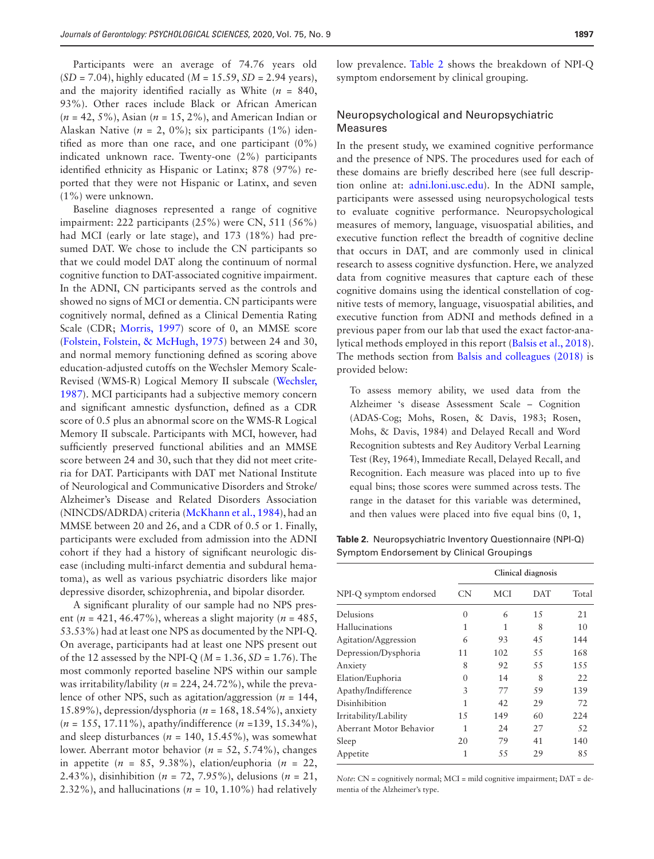Participants were an average of 74.76 years old (*SD* = 7.04), highly educated (*M* = 15.59, *SD* = 2.94 years), and the majority identified racially as White  $(n = 840,$ 93%). Other races include Black or African American (*n* = 42, 5%), Asian (*n* = 15, 2%), and American Indian or Alaskan Native ( $n = 2$ , 0%); six participants (1%) identified as more than one race, and one participant (0%) indicated unknown race. Twenty-one (2%) participants identified ethnicity as Hispanic or Latinx; 878 (97%) reported that they were not Hispanic or Latinx, and seven (1%) were unknown.

Baseline diagnoses represented a range of cognitive impairment: 222 participants (25%) were CN, 511 (56%) had MCI (early or late stage), and 173 (18%) had presumed DAT. We chose to include the CN participants so that we could model DAT along the continuum of normal cognitive function to DAT-associated cognitive impairment. In the ADNI, CN participants served as the controls and showed no signs of MCI or dementia. CN participants were cognitively normal, defined as a Clinical Dementia Rating Scale (CDR; [Morris, 1997](#page-10-10)) score of 0, an MMSE score ([Folstein, Folstein, & McHugh, 1975\)](#page-9-12) between 24 and 30, and normal memory functioning defined as scoring above education-adjusted cutoffs on the Wechsler Memory Scale-Revised (WMS-R) Logical Memory II subscale ([Wechsler,](#page-10-11)  [1987](#page-10-11)). MCI participants had a subjective memory concern and significant amnestic dysfunction, defined as a CDR score of 0.5 plus an abnormal score on the WMS-R Logical Memory II subscale. Participants with MCI, however, had sufficiently preserved functional abilities and an MMSE score between 24 and 30, such that they did not meet criteria for DAT. Participants with DAT met National Institute of Neurological and Communicative Disorders and Stroke/ Alzheimer's Disease and Related Disorders Association (NINCDS/ADRDA) criteria [\(McKhann et al., 1984\)](#page-9-13), had an MMSE between 20 and 26, and a CDR of 0.5 or 1. Finally, participants were excluded from admission into the ADNI cohort if they had a history of significant neurologic disease (including multi-infarct dementia and subdural hematoma), as well as various psychiatric disorders like major depressive disorder, schizophrenia, and bipolar disorder.

A significant plurality of our sample had no NPS present ( $n = 421, 46.47\%$ ), whereas a slight majority ( $n = 485$ , 53.53%) had at least one NPS as documented by the NPI-Q. On average, participants had at least one NPS present out of the 12 assessed by the NPI-Q (*M* = 1.36, *SD* = 1.76). The most commonly reported baseline NPS within our sample was irritability/lability (*n* = 224, 24.72%), while the prevalence of other NPS, such as agitation/aggression (*n* = 144, 15.89%), depression/dysphoria (*n* = 168, 18.54%), anxiety (*n* = 155, 17.11%), apathy/indifference (*n* =139, 15.34%), and sleep disturbances ( $n = 140, 15.45\%$ ), was somewhat lower. Aberrant motor behavior (*n* = 52, 5.74%), changes in appetite  $(n = 85, 9.38\%)$ , elation/euphoria  $(n = 22,$ 2.43%), disinhibition (*n* = 72, 7.95%), delusions (*n* = 21, 2.32%), and hallucinations ( $n = 10$ , 1.10%) had relatively low prevalence. [Table 2](#page-3-0) shows the breakdown of NPI-Q symptom endorsement by clinical grouping.

# Neuropsychological and Neuropsychiatric Measures

In the present study, we examined cognitive performance and the presence of NPS. The procedures used for each of these domains are briefly described here (see full description online at: [adni.loni.usc.edu](http://adni.loni.usc.edu)). In the ADNI sample, participants were assessed using neuropsychological tests to evaluate cognitive performance. Neuropsychological measures of memory, language, visuospatial abilities, and executive function reflect the breadth of cognitive decline that occurs in DAT, and are commonly used in clinical research to assess cognitive dysfunction. Here, we analyzed data from cognitive measures that capture each of these cognitive domains using the identical constellation of cognitive tests of memory, language, visuospatial abilities, and executive function from ADNI and methods defined in a previous paper from our lab that used the exact factor-analytical methods employed in this report [\(Balsis et al., 2018](#page-8-5)). The methods section from [Balsis and colleagues \(2018\)](#page-8-5) is provided below:

To assess memory ability, we used data from the Alzheimer 's disease Assessment Scale – Cognition (ADAS-Cog; Mohs, Rosen, & Davis, 1983; Rosen, Mohs, & Davis, 1984) and Delayed Recall and Word Recognition subtests and Rey Auditory Verbal Learning Test (Rey, 1964), Immediate Recall, Delayed Recall, and Recognition. Each measure was placed into up to five equal bins; those scores were summed across tests. The range in the dataset for this variable was determined, and then values were placed into five equal bins (0, 1,

<span id="page-3-0"></span>**Table 2.** Neuropsychiatric Inventory Questionnaire (NPI-Q) Symptom Endorsement by Clinical Groupings

|                         | Clinical diagnosis |     |     |       |
|-------------------------|--------------------|-----|-----|-------|
| NPI-Q symptom endorsed  | CN                 | MCI | DAT | Total |
| Delusions               | 0                  | 6   | 1.5 | 21    |
| Hallucinations          | 1                  | 1   | 8   | 10    |
| Agitation/Aggression    | 6                  | 93  | 45  | 144   |
| Depression/Dysphoria    | 11                 | 102 | 55  | 168   |
| Anxiety                 | 8                  | 92  | 55  | 1.5.5 |
| Elation/Euphoria        | 0                  | 14  | 8   | 22    |
| Apathy/Indifference     | 3                  | 77  | 59  | 139   |
| Disinhibition           | 1                  | 42  | 29  | 72    |
| Irritability/Lability   | 1.5                | 149 | 60  | 224   |
| Aberrant Motor Behavior | 1                  | 2.4 | 27  | 52    |
| Sleep                   | 20                 | 79  | 41  | 140   |
| Appetite                | 1                  | 55  | 29  | 85    |

*Note*: CN = cognitively normal; MCI = mild cognitive impairment; DAT = dementia of the Alzheimer's type.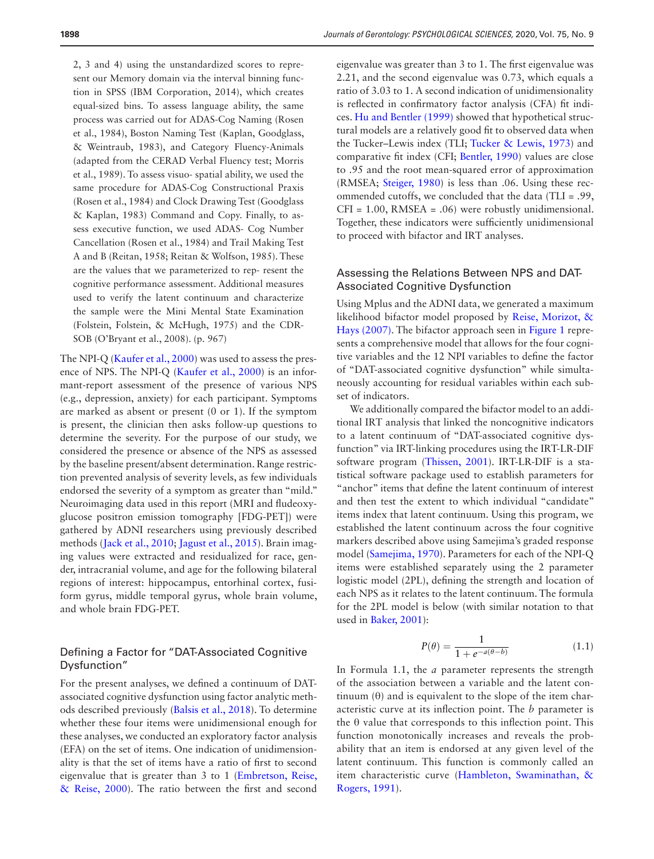2, 3 and 4) using the unstandardized scores to represent our Memory domain via the interval binning function in SPSS (IBM Corporation, 2014), which creates equal-sized bins. To assess language ability, the same process was carried out for ADAS-Cog Naming (Rosen et al., 1984), Boston Naming Test (Kaplan, Goodglass, & Weintraub, 1983), and Category Fluency-Animals (adapted from the CERAD Verbal Fluency test; Morris et al., 1989). To assess visuo- spatial ability, we used the same procedure for ADAS-Cog Constructional Praxis (Rosen et al., 1984) and Clock Drawing Test (Goodglass & Kaplan, 1983) Command and Copy. Finally, to assess executive function, we used ADAS- Cog Number Cancellation (Rosen et al., 1984) and Trail Making Test A and B (Reitan, 1958; Reitan & Wolfson, 1985). These are the values that we parameterized to rep- resent the cognitive performance assessment. Additional measures used to verify the latent continuum and characterize the sample were the Mini Mental State Examination (Folstein, Folstein, & McHugh, 1975) and the CDR-SOB (O'Bryant et al., 2008). (p. 967)

The NPI-Q ([Kaufer et al., 2000\)](#page-9-10) was used to assess the presence of NPS. The NPI-Q [\(Kaufer et al., 2000\)](#page-9-10) is an informant-report assessment of the presence of various NPS (e.g., depression, anxiety) for each participant. Symptoms are marked as absent or present (0 or 1). If the symptom is present, the clinician then asks follow-up questions to determine the severity. For the purpose of our study, we considered the presence or absence of the NPS as assessed by the baseline present/absent determination. Range restriction prevented analysis of severity levels, as few individuals endorsed the severity of a symptom as greater than "mild." Neuroimaging data used in this report (MRI and fludeoxyglucose positron emission tomography [FDG-PET]) were gathered by ADNI researchers using previously described methods ([Jack et al., 2010](#page-9-14); [Jagust et al., 2015](#page-9-15)). Brain imaging values were extracted and residualized for race, gender, intracranial volume, and age for the following bilateral regions of interest: hippocampus, entorhinal cortex, fusiform gyrus, middle temporal gyrus, whole brain volume, and whole brain FDG-PET.

# Defining a Factor for "DAT-Associated Cognitive Dysfunction"

For the present analyses, we defined a continuum of DATassociated cognitive dysfunction using factor analytic methods described previously [\(Balsis et al., 2018](#page-8-5)). To determine whether these four items were unidimensional enough for these analyses, we conducted an exploratory factor analysis (EFA) on the set of items. One indication of unidimensionality is that the set of items have a ratio of first to second eigenvalue that is greater than 3 to 1 [\(Embretson, Reise,](#page-9-16)  [& Reise, 2000\)](#page-9-16). The ratio between the first and second

eigenvalue was greater than 3 to 1. The first eigenvalue was 2.21, and the second eigenvalue was 0.73, which equals a ratio of 3.03 to 1. A second indication of unidimensionality is reflected in confirmatory factor analysis (CFA) fit indices. [Hu and Bentler \(1999\)](#page-9-17) showed that hypothetical structural models are a relatively good fit to observed data when the Tucker–Lewis index (TLI; [Tucker & Lewis, 1973\)](#page-10-12) and comparative fit index (CFI; [Bentler, 1990\)](#page-8-6) values are close to .95 and the root mean-squared error of approximation (RMSEA; [Steiger, 1980](#page-10-13)) is less than .06. Using these recommended cutoffs, we concluded that the data (TLI = .99, CFI = 1.00, RMSEA = .06) were robustly unidimensional. Together, these indicators were sufficiently unidimensional to proceed with bifactor and IRT analyses.

#### Assessing the Relations Between NPS and DAT-Associated Cognitive Dysfunction

Using Mplus and the ADNI data, we generated a maximum likelihood bifactor model proposed by [Reise, Morizot, &](#page-10-14)  [Hays \(2007\)](#page-10-14). The bifactor approach seen in [Figure 1](#page-5-0) represents a comprehensive model that allows for the four cognitive variables and the 12 NPI variables to define the factor of "DAT-associated cognitive dysfunction" while simultaneously accounting for residual variables within each subset of indicators.

We additionally compared the bifactor model to an additional IRT analysis that linked the noncognitive indicators to a latent continuum of "DAT-associated cognitive dysfunction" via IRT-linking procedures using the IRT-LR-DIF software program [\(Thissen, 2001\)](#page-10-15). IRT-LR-DIF is a statistical software package used to establish parameters for "anchor" items that define the latent continuum of interest and then test the extent to which individual "candidate" items index that latent continuum. Using this program, we established the latent continuum across the four cognitive markers described above using Samejima's graded response model ([Samejima, 1970](#page-10-16)). Parameters for each of the NPI-Q items were established separately using the 2 parameter logistic model (2PL), defining the strength and location of each NPS as it relates to the latent continuum. The formula for the 2PL model is below (with similar notation to that used in [Baker, 2001\)](#page-8-7):

$$
P(\theta) = \frac{1}{1 + e^{-a(\theta - b)}}\tag{1.1}
$$

In Formula 1.1, the *a* parameter represents the strength of the association between a variable and the latent continuum  $(\theta)$  and is equivalent to the slope of the item characteristic curve at its inflection point. The *b* parameter is the  $θ$  value that corresponds to this inflection point. This function monotonically increases and reveals the probability that an item is endorsed at any given level of the latent continuum. This function is commonly called an item characteristic curve [\(Hambleton, Swaminathan, &](#page-9-18)  [Rogers, 1991](#page-9-18)).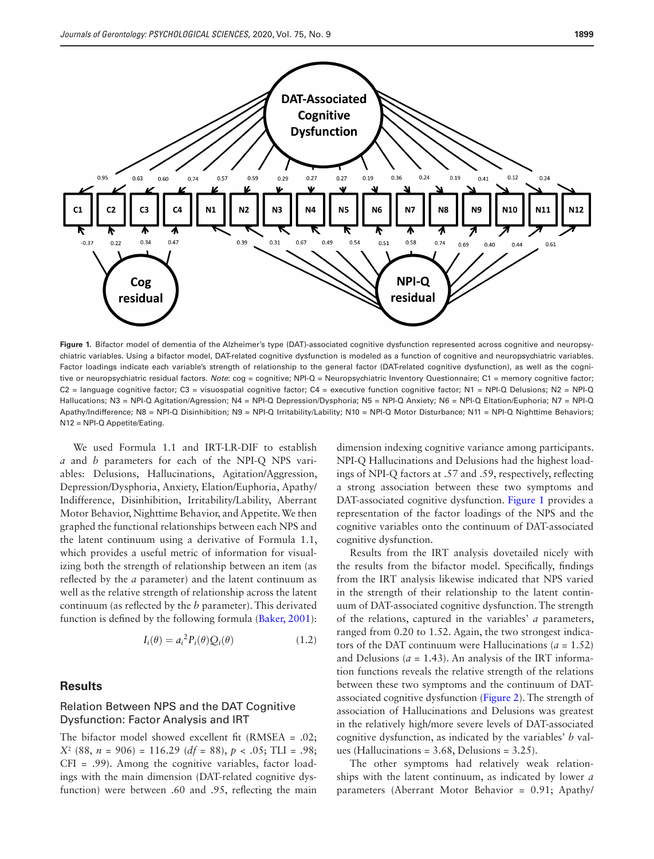

<span id="page-5-0"></span>**Figure 1.** Bifactor model of dementia of the Alzheimer's type (DAT)-associated cognitive dysfunction represented across cognitive and neuropsychiatric variables. Using a bifactor model, DAT-related cognitive dysfunction is modeled as a function of cognitive and neuropsychiatric variables. Factor loadings indicate each variable's strength of relationship to the general factor (DAT-related cognitive dysfunction), as well as the cognitive or neuropsychiatric residual factors. *Note*: cog = cognitive; NPI-Q = Neuropsychiatric Inventory Questionnaire; C1 = memory cognitive factor;  $C2$  = language cognitive factor;  $C3$  = visuospatial cognitive factor;  $C4$  = executive function cognitive factor;  $N1$  = NPI-Q Delusions;  $N2$  = NPI-Q Hallucations; N3 = NPI-Q Agitation/Agression; N4 = NPI-Q Depression/Dysphoria; N5 = NPI-Q Anxiety; N6 = NPI-Q Eltation/Euphoria; N7 = NPI-Q Apathy/Indifference; N8 = NPI-Q Disinhibition; N9 = NPI-Q Irritability/Lability; N10 = NPI-Q Motor Disturbance; N11 = NPI-Q Nighttime Behaviors; N12 = NPI-Q Appetite/Eating.

We used Formula 1.1 and IRT-LR-DIF to establish *a* and *b* parameters for each of the NPI-Q NPS variables: Delusions, Hallucinations, Agitation/Aggression, Depression/Dysphoria, Anxiety, Elation/Euphoria, Apathy/ Indifference, Disinhibition, Irritability/Lability, Aberrant Motor Behavior, Nighttime Behavior, and Appetite. We then graphed the functional relationships between each NPS and the latent continuum using a derivative of Formula 1.1, which provides a useful metric of information for visualizing both the strength of relationship between an item (as reflected by the *a* parameter) and the latent continuum as well as the relative strength of relationship across the latent continuum (as reflected by the *b* parameter). This derivated function is defined by the following formula ([Baker, 2001\)](#page-8-7):

$$
I_i(\theta) = a_i^2 P_i(\theta) Q_i(\theta) \tag{1.2}
$$

#### **Results**

# Relation Between NPS and the DAT Cognitive Dysfunction: Factor Analysis and IRT

The bifactor model showed excellent fit (RMSEA = .02; *X*<sup>2</sup> (88, *n* = 906) = 116.29 (*df* = 88), *p* < .05; TLI = .98; CFI = .99). Among the cognitive variables, factor loadings with the main dimension (DAT-related cognitive dysfunction) were between .60 and .95, reflecting the main

dimension indexing cognitive variance among participants. NPI-Q Hallucinations and Delusions had the highest loadings of NPI-Q factors at .57 and .59, respectively, reflecting a strong association between these two symptoms and DAT-associated cognitive dysfunction. [Figure 1](#page-5-0) provides a representation of the factor loadings of the NPS and the cognitive variables onto the continuum of DAT-associated cognitive dysfunction.

Results from the IRT analysis dovetailed nicely with the results from the bifactor model. Specifically, findings from the IRT analysis likewise indicated that NPS varied in the strength of their relationship to the latent continuum of DAT-associated cognitive dysfunction. The strength of the relations, captured in the variables' *a* parameters, ranged from 0.20 to 1.52. Again, the two strongest indicators of the DAT continuum were Hallucinations ( $a = 1.52$ ) and Delusions ( $a = 1.43$ ). An analysis of the IRT information functions reveals the relative strength of the relations between these two symptoms and the continuum of DATassociated cognitive dysfunction [\(Figure 2\)](#page-6-0). The strength of association of Hallucinations and Delusions was greatest in the relatively high/more severe levels of DAT-associated cognitive dysfunction, as indicated by the variables' *b* values (Hallucinations =  $3.68$ , Delusions =  $3.25$ ).

The other symptoms had relatively weak relationships with the latent continuum, as indicated by lower *a* parameters (Aberrant Motor Behavior = 0.91; Apathy/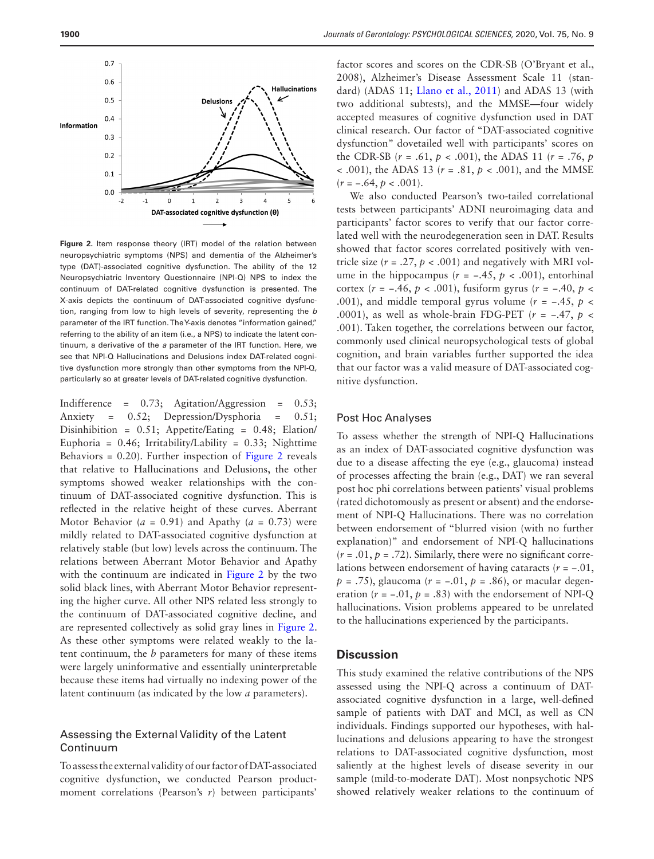

<span id="page-6-0"></span>**Figure 2.** Item response theory (IRT) model of the relation between neuropsychiatric symptoms (NPS) and dementia of the Alzheimer's type (DAT)-associated cognitive dysfunction. The ability of the 12 Neuropsychiatric Inventory Questionnaire (NPI-Q) NPS to index the continuum of DAT-related cognitive dysfunction is presented. The X-axis depicts the continuum of DAT-associated cognitive dysfunction, ranging from low to high levels of severity, representing the *b* parameter of the IRT function. The Y-axis denotes "information gained," referring to the ability of an item (i.e., a NPS) to indicate the latent continuum, a derivative of the *a* parameter of the IRT function. Here, we see that NPI-Q Hallucinations and Delusions index DAT-related cognitive dysfunction more strongly than other symptoms from the NPI-Q, particularly so at greater levels of DAT-related cognitive dysfunction.

Indifference =  $0.73$ ; Agitation/Aggression =  $0.53$ ; Anxiety = 0.52; Depression/Dysphoria = 0.51; Disinhibition = 0.51; Appetite/Eating = 0.48; Elation/ Euphoria =  $0.46$ ; Irritability/Lability =  $0.33$ ; Nighttime Behaviors  $= 0.20$ ). Further inspection of [Figure 2](#page-6-0) reveals that relative to Hallucinations and Delusions, the other symptoms showed weaker relationships with the continuum of DAT-associated cognitive dysfunction. This is reflected in the relative height of these curves. Aberrant Motor Behavior ( $a = 0.91$ ) and Apathy ( $a = 0.73$ ) were mildly related to DAT-associated cognitive dysfunction at relatively stable (but low) levels across the continuum. The relations between Aberrant Motor Behavior and Apathy with the continuum are indicated in [Figure 2](#page-6-0) by the two solid black lines, with Aberrant Motor Behavior representing the higher curve. All other NPS related less strongly to the continuum of DAT-associated cognitive decline, and are represented collectively as solid gray lines in [Figure 2](#page-6-0). As these other symptoms were related weakly to the latent continuum, the *b* parameters for many of these items were largely uninformative and essentially uninterpretable because these items had virtually no indexing power of the latent continuum (as indicated by the low *a* parameters).

### Assessing the External Validity of the Latent Continuum

To assess the external validity of our factor of DAT-associated cognitive dysfunction, we conducted Pearson productmoment correlations (Pearson's *r*) between participants'

factor scores and scores on the CDR-SB (O'Bryant et al., 2008), Alzheimer's Disease Assessment Scale 11 (standard) (ADAS 11; [Llano et al., 2011\)](#page-9-11) and ADAS 13 (with two additional subtests), and the MMSE—four widely accepted measures of cognitive dysfunction used in DAT clinical research. Our factor of "DAT-associated cognitive dysfunction" dovetailed well with participants' scores on the CDR-SB  $(r = .61, p < .001)$ , the ADAS 11  $(r = .76, p$ < .001), the ADAS 13 (*r* = .81, *p* < .001), and the MMSE  $(r = -.64, p < .001).$ 

We also conducted Pearson's two-tailed correlational tests between participants' ADNI neuroimaging data and participants' factor scores to verify that our factor correlated well with the neurodegeneration seen in DAT. Results showed that factor scores correlated positively with ventricle size  $(r = .27, p < .001)$  and negatively with MRI volume in the hippocampus ( $r = -.45$ ,  $p < .001$ ), entorhinal cortex (*r* = −.46, *p* < .001), fusiform gyrus (*r* = −.40, *p* < .001), and middle temporal gyrus volume ( $r = -.45$ ,  $p <$ .0001), as well as whole-brain FDG-PET ( $r = -.47, p <$ .001). Taken together, the correlations between our factor, commonly used clinical neuropsychological tests of global cognition, and brain variables further supported the idea that our factor was a valid measure of DAT-associated cognitive dysfunction.

#### Post Hoc Analyses

To assess whether the strength of NPI-Q Hallucinations as an index of DAT-associated cognitive dysfunction was due to a disease affecting the eye (e.g., glaucoma) instead of processes affecting the brain (e.g., DAT) we ran several post hoc phi correlations between patients' visual problems (rated dichotomously as present or absent) and the endorsement of NPI-Q Hallucinations. There was no correlation between endorsement of "blurred vision (with no further explanation)" and endorsement of NPI-Q hallucinations  $(r = .01, p = .72)$ . Similarly, there were no significant correlations between endorsement of having cataracts (*r* = −.01, *p* = .75), glaucoma (*r* = −.01, *p* = .86), or macular degeneration  $(r = -.01, p = .83)$  with the endorsement of NPI-Q hallucinations. Vision problems appeared to be unrelated to the hallucinations experienced by the participants.

# **Discussion**

This study examined the relative contributions of the NPS assessed using the NPI-Q across a continuum of DATassociated cognitive dysfunction in a large, well-defined sample of patients with DAT and MCI, as well as CN individuals. Findings supported our hypotheses, with hallucinations and delusions appearing to have the strongest relations to DAT-associated cognitive dysfunction, most saliently at the highest levels of disease severity in our sample (mild-to-moderate DAT). Most nonpsychotic NPS showed relatively weaker relations to the continuum of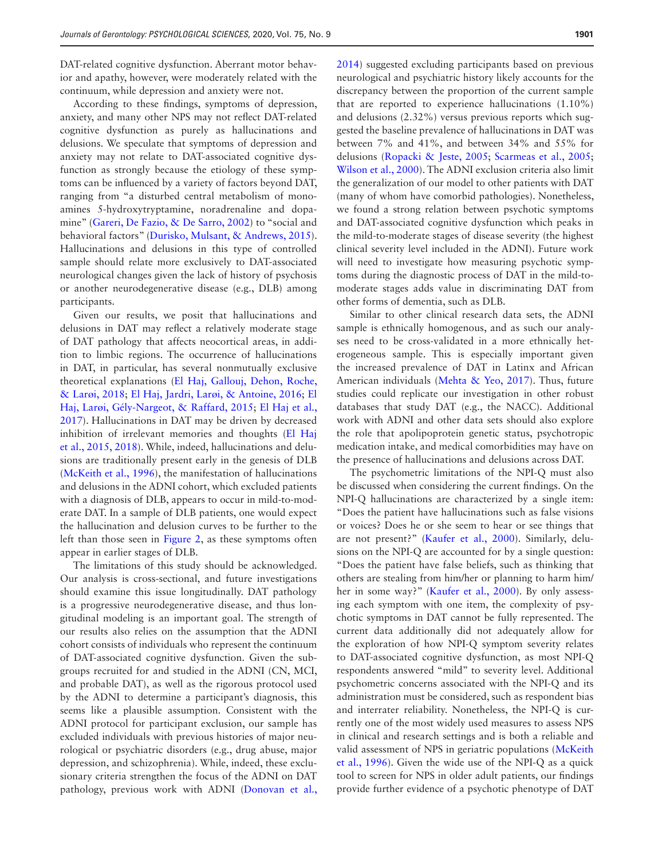DAT-related cognitive dysfunction. Aberrant motor behavior and apathy, however, were moderately related with the continuum, while depression and anxiety were not.

According to these findings, symptoms of depression, anxiety, and many other NPS may not reflect DAT-related cognitive dysfunction as purely as hallucinations and delusions. We speculate that symptoms of depression and anxiety may not relate to DAT-associated cognitive dysfunction as strongly because the etiology of these symptoms can be influenced by a variety of factors beyond DAT, ranging from "a disturbed central metabolism of monoamines 5-hydroxytryptamine, noradrenaline and dopamine" [\(Gareri, De Fazio, & De Sarro, 2002](#page-9-19)) to "social and behavioral factors" ([Durisko, Mulsant, & Andrews, 2015](#page-9-20)). Hallucinations and delusions in this type of controlled sample should relate more exclusively to DAT-associated neurological changes given the lack of history of psychosis or another neurodegenerative disease (e.g., DLB) among participants.

Given our results, we posit that hallucinations and delusions in DAT may reflect a relatively moderate stage of DAT pathology that affects neocortical areas, in addition to limbic regions. The occurrence of hallucinations in DAT, in particular, has several nonmutually exclusive theoretical explanations ([El Haj, Gallouj, Dehon, Roche,](#page-9-21)  [& Larøi, 2018;](#page-9-21) [El Haj, Jardri, Larøi, & Antoine, 2016;](#page-9-22) [El](#page-9-23)  [Haj, Larøi, Gély-Nargeot, & Raffard, 2015;](#page-9-23) [El Haj et al.,](#page-9-24)  [2017](#page-9-24)). Hallucinations in DAT may be driven by decreased inhibition of irrelevant memories and thoughts ([El Haj](#page-9-23)  [et al., 2015,](#page-9-23) [2018](#page-9-21)). While, indeed, hallucinations and delusions are traditionally present early in the genesis of DLB ([McKeith et al., 1996\)](#page-9-25), the manifestation of hallucinations and delusions in the ADNI cohort, which excluded patients with a diagnosis of DLB, appears to occur in mild-to-moderate DAT. In a sample of DLB patients, one would expect the hallucination and delusion curves to be further to the left than those seen in [Figure 2,](#page-6-0) as these symptoms often appear in earlier stages of DLB.

The limitations of this study should be acknowledged. Our analysis is cross-sectional, and future investigations should examine this issue longitudinally. DAT pathology is a progressive neurodegenerative disease, and thus longitudinal modeling is an important goal. The strength of our results also relies on the assumption that the ADNI cohort consists of individuals who represent the continuum of DAT-associated cognitive dysfunction. Given the subgroups recruited for and studied in the ADNI (CN, MCI, and probable DAT), as well as the rigorous protocol used by the ADNI to determine a participant's diagnosis, this seems like a plausible assumption. Consistent with the ADNI protocol for participant exclusion, our sample has excluded individuals with previous histories of major neurological or psychiatric disorders (e.g., drug abuse, major depression, and schizophrenia). While, indeed, these exclusionary criteria strengthen the focus of the ADNI on DAT pathology, previous work with ADNI [\(Donovan et al.,](#page-9-7) 

[2014](#page-9-7)) suggested excluding participants based on previous neurological and psychiatric history likely accounts for the discrepancy between the proportion of the current sample that are reported to experience hallucinations (1.10%) and delusions (2.32%) versus previous reports which suggested the baseline prevalence of hallucinations in DAT was between 7% and 41%, and between 34% and 55% for delusions [\(Ropacki & Jeste, 2005](#page-10-3); [Scarmeas et al., 2005](#page-10-4); [Wilson et al., 2000\)](#page-10-1). The ADNI exclusion criteria also limit the generalization of our model to other patients with DAT (many of whom have comorbid pathologies). Nonetheless, we found a strong relation between psychotic symptoms and DAT-associated cognitive dysfunction which peaks in the mild-to-moderate stages of disease severity (the highest clinical severity level included in the ADNI). Future work

will need to investigate how measuring psychotic symptoms during the diagnostic process of DAT in the mild-tomoderate stages adds value in discriminating DAT from other forms of dementia, such as DLB. Similar to other clinical research data sets, the ADNI sample is ethnically homogenous, and as such our analyses need to be cross-validated in a more ethnically heterogeneous sample. This is especially important given the increased prevalence of DAT in Latinx and African American individuals [\(Mehta & Yeo, 2017](#page-10-17)). Thus, future studies could replicate our investigation in other robust databases that study DAT (e.g., the NACC). Additional

work with ADNI and other data sets should also explore the role that apolipoprotein genetic status, psychotropic medication intake, and medical comorbidities may have on the presence of hallucinations and delusions across DAT.

The psychometric limitations of the NPI-Q must also be discussed when considering the current findings. On the NPI-Q hallucinations are characterized by a single item: "Does the patient have hallucinations such as false visions or voices? Does he or she seem to hear or see things that are not present?" [\(Kaufer et al., 2000\)](#page-9-10). Similarly, delusions on the NPI-Q are accounted for by a single question: "Does the patient have false beliefs, such as thinking that others are stealing from him/her or planning to harm him/ her in some way?" [\(Kaufer et al., 2000\)](#page-9-10). By only assessing each symptom with one item, the complexity of psychotic symptoms in DAT cannot be fully represented. The current data additionally did not adequately allow for the exploration of how NPI-Q symptom severity relates to DAT-associated cognitive dysfunction, as most NPI-Q respondents answered "mild" to severity level. Additional psychometric concerns associated with the NPI-Q and its administration must be considered, such as respondent bias and interrater reliability. Nonetheless, the NPI-Q is currently one of the most widely used measures to assess NPS in clinical and research settings and is both a reliable and valid assessment of NPS in geriatric populations ([McKeith](#page-9-25)  [et al., 1996\)](#page-9-25). Given the wide use of the NPI-Q as a quick tool to screen for NPS in older adult patients, our findings provide further evidence of a psychotic phenotype of DAT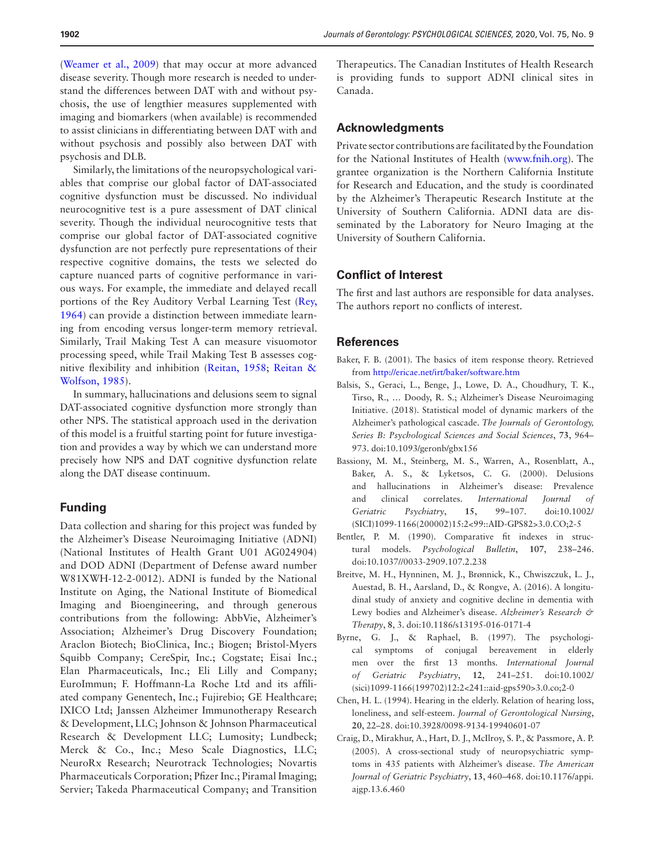([Weamer et al., 2009\)](#page-10-5) that may occur at more advanced disease severity. Though more research is needed to understand the differences between DAT with and without psychosis, the use of lengthier measures supplemented with imaging and biomarkers (when available) is recommended to assist clinicians in differentiating between DAT with and without psychosis and possibly also between DAT with psychosis and DLB.

Similarly, the limitations of the neuropsychological variables that comprise our global factor of DAT-associated cognitive dysfunction must be discussed. No individual neurocognitive test is a pure assessment of DAT clinical severity. Though the individual neurocognitive tests that comprise our global factor of DAT-associated cognitive dysfunction are not perfectly pure representations of their respective cognitive domains, the tests we selected do capture nuanced parts of cognitive performance in various ways. For example, the immediate and delayed recall portions of the Rey Auditory Verbal Learning Test ([Rey,](#page-10-18)  [1964](#page-10-18)) can provide a distinction between immediate learning from encoding versus longer-term memory retrieval. Similarly, Trail Making Test A can measure visuomotor processing speed, while Trail Making Test B assesses cognitive flexibility and inhibition ([Reitan, 1958;](#page-10-19) [Reitan &](#page-10-20)  [Wolfson, 1985\)](#page-10-20).

In summary, hallucinations and delusions seem to signal DAT-associated cognitive dysfunction more strongly than other NPS. The statistical approach used in the derivation of this model is a fruitful starting point for future investigation and provides a way by which we can understand more precisely how NPS and DAT cognitive dysfunction relate along the DAT disease continuum.

# **Funding**

Data collection and sharing for this project was funded by the Alzheimer's Disease Neuroimaging Initiative (ADNI) (National Institutes of Health Grant U01 AG024904) and DOD ADNI (Department of Defense award number W81XWH-12-2-0012). ADNI is funded by the National Institute on Aging, the National Institute of Biomedical Imaging and Bioengineering, and through generous contributions from the following: AbbVie, Alzheimer's Association; Alzheimer's Drug Discovery Foundation; Araclon Biotech; BioClinica, Inc.; Biogen; Bristol-Myers Squibb Company; CereSpir, Inc.; Cogstate; Eisai Inc.; Elan Pharmaceuticals, Inc.; Eli Lilly and Company; EuroImmun; F. Hoffmann-La Roche Ltd and its affiliated company Genentech, Inc.; Fujirebio; GE Healthcare; IXICO Ltd; Janssen Alzheimer Immunotherapy Research & Development, LLC; Johnson & Johnson Pharmaceutical Research & Development LLC; Lumosity; Lundbeck; Merck & Co., Inc.; Meso Scale Diagnostics, LLC; NeuroRx Research; Neurotrack Technologies; Novartis Pharmaceuticals Corporation; Pfizer Inc.; Piramal Imaging; Servier; Takeda Pharmaceutical Company; and Transition

Therapeutics. The Canadian Institutes of Health Research is providing funds to support ADNI clinical sites in Canada.

# **Acknowledgments**

Private sector contributions are facilitated by the Foundation for the National Institutes of Health ([www.fnih.org\)](http://www.fnih.org). The grantee organization is the Northern California Institute for Research and Education, and the study is coordinated by the Alzheimer's Therapeutic Research Institute at the University of Southern California. ADNI data are disseminated by the Laboratory for Neuro Imaging at the University of Southern California.

# **Conflict of Interest**

The first and last authors are responsible for data analyses. The authors report no conflicts of interest.

#### **References**

- <span id="page-8-7"></span>Baker, F. B. (2001). The basics of item response theory. Retrieved from <http://ericae.net/irt/baker/software.htm>
- <span id="page-8-5"></span>Balsis, S., Geraci, L., Benge, J., Lowe, D. A., Choudhury, T. K., Tirso, R., … Doody, R. S.; Alzheimer's Disease Neuroimaging Initiative. (2018). Statistical model of dynamic markers of the Alzheimer's pathological cascade. *The Journals of Gerontology, Series B: Psychological Sciences and Social Sciences*, **73**, 964– 973. doi:10.1093/geronb/gbx156
- <span id="page-8-0"></span>Bassiony, M. M., Steinberg, M. S., Warren, A., Rosenblatt, A., Baker, A. S., & Lyketsos, C. G. (2000). Delusions and hallucinations in Alzheimer's disease: Prevalence and clinical correlates. *International Journal of Geriatric Psychiatry*, **15**, 99–107. doi:10.1002/ (SICI)1099-1166(200002)15:2<99::AID-GPS82>3.0.CO;2-5
- <span id="page-8-6"></span>Bentler, P. M. (1990). Comparative fit indexes in structural models. *Psychological Bulletin*, **107**, 238–246. doi:10.1037//0033-2909.107.2.238
- <span id="page-8-1"></span>Breitve, M. H., Hynninen, M. J., Brønnick, K., Chwiszczuk, L. J., Auestad, B. H., Aarsland, D., & Rongve, A. (2016). A longitudinal study of anxiety and cognitive decline in dementia with Lewy bodies and Alzheimer's disease. *Alzheimer's Research & Therapy*, **8**, 3. doi:10.1186/s13195-016-0171-4
- <span id="page-8-3"></span>Byrne, G. J., & Raphael, B. (1997). The psychological symptoms of conjugal bereavement in elderly men over the first 13 months. *International Journal of Geriatric Psychiatry*, **12**, 241–251. doi:10.1002/ (sici)1099-1166(199702)12:2<241::aid-gps590>3.0.co;2-0
- <span id="page-8-2"></span>Chen, H. L. (1994). Hearing in the elderly. Relation of hearing loss, loneliness, and self-esteem. *Journal of Gerontological Nursing*, **20**, 22–28. doi:10.3928/0098-9134-19940601-07
- <span id="page-8-4"></span>Craig, D., Mirakhur, A., Hart, D. J., McIlroy, S. P., & Passmore, A. P. (2005). A cross-sectional study of neuropsychiatric symptoms in 435 patients with Alzheimer's disease. *The American Journal of Geriatric Psychiatry*, **13**, 460–468. doi:10.1176/appi. ajgp.13.6.460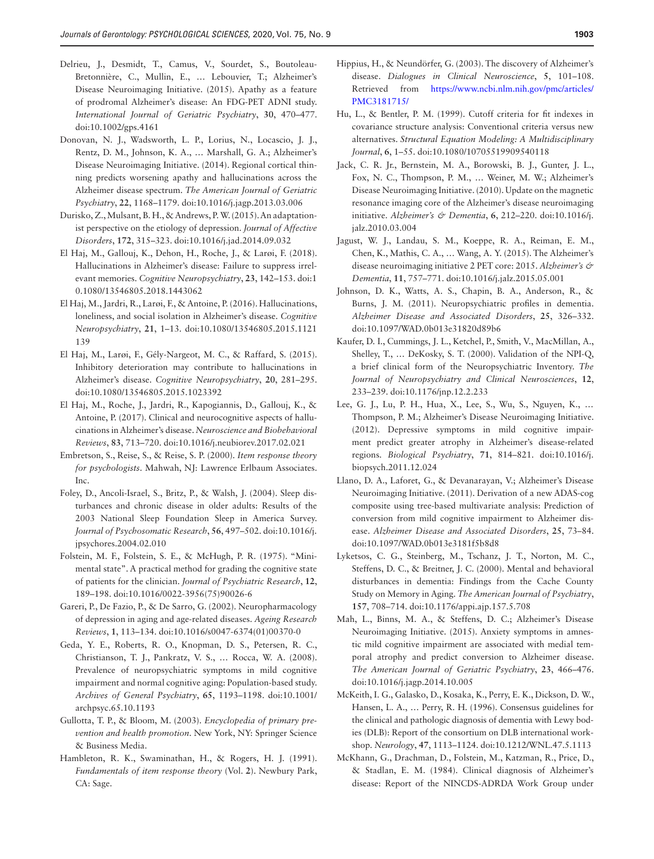- <span id="page-9-2"></span>Delrieu, J., Desmidt, T., Camus, V., Sourdet, S., Boutoleau-Bretonnière, C., Mullin, E., … Lebouvier, T.; Alzheimer's Disease Neuroimaging Initiative. (2015). Apathy as a feature of prodromal Alzheimer's disease: An FDG-PET ADNI study. *International Journal of Geriatric Psychiatry*, **30**, 470–477. doi:10.1002/gps.4161
- <span id="page-9-7"></span>Donovan, N. J., Wadsworth, L. P., Lorius, N., Locascio, J. J., Rentz, D. M., Johnson, K. A., … Marshall, G. A.; Alzheimer's Disease Neuroimaging Initiative. (2014). Regional cortical thinning predicts worsening apathy and hallucinations across the Alzheimer disease spectrum. *The American Journal of Geriatric Psychiatry*, **22**, 1168–1179. doi:10.1016/j.jagp.2013.03.006
- <span id="page-9-20"></span>Durisko, Z., Mulsant, B. H., & Andrews, P. W. (2015). An adaptationist perspective on the etiology of depression. *Journal of Affective Disorders*, **172**, 315–323. doi:10.1016/j.jad.2014.09.032
- <span id="page-9-21"></span>El Haj, M., Gallouj, K., Dehon, H., Roche, J., & Larøi, F. (2018). Hallucinations in Alzheimer's disease: Failure to suppress irrelevant memories. *Cognitive Neuropsychiatry*, **23**, 142–153. doi:1 0.1080/13546805.2018.1443062
- <span id="page-9-22"></span>El Haj, M., Jardri, R., Larøi, F., & Antoine, P. (2016). Hallucinations, loneliness, and social isolation in Alzheimer's disease. *Cognitive Neuropsychiatry*, **21**, 1–13. doi:10.1080/13546805.2015.1121 139
- <span id="page-9-23"></span>El Haj, M., Larøi, F., Gély-Nargeot, M. C., & Raffard, S. (2015). Inhibitory deterioration may contribute to hallucinations in Alzheimer's disease. *Cognitive Neuropsychiatry*, **20**, 281–295. doi:10.1080/13546805.2015.1023392
- <span id="page-9-24"></span>El Haj, M., Roche, J., Jardri, R., Kapogiannis, D., Gallouj, K., & Antoine, P. (2017). Clinical and neurocognitive aspects of hallucinations in Alzheimer's disease. *Neuroscience and Biobehavioral Reviews*, **83**, 713–720. doi:10.1016/j.neubiorev.2017.02.021
- <span id="page-9-16"></span>Embretson, S., Reise, S., & Reise, S. P. (2000). *Item response theory for psychologists*. Mahwah, NJ: Lawrence Erlbaum Associates. Inc.
- <span id="page-9-3"></span>Foley, D., Ancoli-Israel, S., Britz, P., & Walsh, J. (2004). Sleep disturbances and chronic disease in older adults: Results of the 2003 National Sleep Foundation Sleep in America Survey. *Journal of Psychosomatic Research*, **56**, 497–502. doi:10.1016/j. jpsychores.2004.02.010
- <span id="page-9-12"></span>Folstein, M. F., Folstein, S. E., & McHugh, P. R. (1975). "Minimental state". A practical method for grading the cognitive state of patients for the clinician. *Journal of Psychiatric Research*, **12**, 189–198. doi:10.1016/0022-3956(75)90026-6
- <span id="page-9-19"></span>Gareri, P., De Fazio, P., & De Sarro, G. (2002). Neuropharmacology of depression in aging and age-related diseases. *Ageing Research Reviews*, **1**, 113–134. doi:10.1016/s0047-6374(01)00370-0
- <span id="page-9-5"></span>Geda, Y. E., Roberts, R. O., Knopman, D. S., Petersen, R. C., Christianson, T. J., Pankratz, V. S., … Rocca, W. A. (2008). Prevalence of neuropsychiatric symptoms in mild cognitive impairment and normal cognitive aging: Population-based study. *Archives of General Psychiatry*, **65**, 1193–1198. doi:10.1001/ archpsyc.65.10.1193
- <span id="page-9-4"></span>Gullotta, T. P., & Bloom, M. (2003). *Encyclopedia of primary prevention and health promotion*. New York, NY: Springer Science & Business Media.
- <span id="page-9-18"></span>Hambleton, R. K., Swaminathan, H., & Rogers, H. J. (1991). *Fundamentals of item response theory* (Vol. **2**). Newbury Park, CA: Sage.
- <span id="page-9-0"></span>Hippius, H., & Neundörfer, G. (2003). The discovery of Alzheimer's disease. *Dialogues in Clinical Neuroscience*, **5**, 101–108. Retrieved from [https://www.ncbi.nlm.nih.gov/pmc/articles/](https://www.ncbi.nlm.nih.gov/pmc/articles/PMC3181715/) [PMC3181715/](https://www.ncbi.nlm.nih.gov/pmc/articles/PMC3181715/)
- <span id="page-9-17"></span>Hu, L., & Bentler, P. M. (1999). Cutoff criteria for fit indexes in covariance structure analysis: Conventional criteria versus new alternatives. *Structural Equation Modeling: A Multidisciplinary Journal*, **6**, 1–55. doi:10.1080/10705519909540118
- <span id="page-9-14"></span>Jack, C. R. Jr., Bernstein, M. A., Borowski, B. J., Gunter, J. L., Fox, N. C., Thompson, P. M., … Weiner, M. W.; Alzheimer's Disease Neuroimaging Initiative. (2010). Update on the magnetic resonance imaging core of the Alzheimer's disease neuroimaging initiative. *Alzheimer's & Dementia*, **6**, 212–220. doi:10.1016/j. jalz.2010.03.004
- <span id="page-9-15"></span>Jagust, W. J., Landau, S. M., Koeppe, R. A., Reiman, E. M., Chen, K., Mathis, C. A., … Wang, A. Y. (2015). The Alzheimer's disease neuroimaging initiative 2 PET core: 2015. *Alzheimer's & Dementia*, **11**, 757–771. doi:10.1016/j.jalz.2015.05.001
- <span id="page-9-9"></span>Johnson, D. K., Watts, A. S., Chapin, B. A., Anderson, R., & Burns, J. M. (2011). Neuropsychiatric profiles in dementia. *Alzheimer Disease and Associated Disorders*, **25**, 326–332. doi:10.1097/WAD.0b013e31820d89b6
- <span id="page-9-10"></span>Kaufer, D. I., Cummings, J. L., Ketchel, P., Smith, V., MacMillan, A., Shelley, T., … DeKosky, S. T. (2000). Validation of the NPI-Q, a brief clinical form of the Neuropsychiatric Inventory. *The Journal of Neuropsychiatry and Clinical Neurosciences*, **12**, 233–239. doi:10.1176/jnp.12.2.233
- <span id="page-9-1"></span>Lee, G. J., Lu, P. H., Hua, X., Lee, S., Wu, S., Nguyen, K., ... Thompson, P. M.; Alzheimer's Disease Neuroimaging Initiative. (2012). Depressive symptoms in mild cognitive impairment predict greater atrophy in Alzheimer's disease-related regions. *Biological Psychiatry*, **71**, 814–821. doi:10.1016/j. biopsych.2011.12.024
- <span id="page-9-11"></span>Llano, D. A., Laforet, G., & Devanarayan, V.; Alzheimer's Disease Neuroimaging Initiative. (2011). Derivation of a new ADAS-cog composite using tree-based multivariate analysis: Prediction of conversion from mild cognitive impairment to Alzheimer disease. *Alzheimer Disease and Associated Disorders*, **25**, 73–84. doi:10.1097/WAD.0b013e3181f5b8d8
- <span id="page-9-6"></span>Lyketsos, C. G., Steinberg, M., Tschanz, J. T., Norton, M. C., Steffens, D. C., & Breitner, J. C. (2000). Mental and behavioral disturbances in dementia: Findings from the Cache County Study on Memory in Aging. *The American Journal of Psychiatry*, **157**, 708–714. doi:10.1176/appi.ajp.157.5.708
- <span id="page-9-8"></span>Mah, L., Binns, M. A., & Steffens, D. C.; Alzheimer's Disease Neuroimaging Initiative. (2015). Anxiety symptoms in amnestic mild cognitive impairment are associated with medial temporal atrophy and predict conversion to Alzheimer disease. *The American Journal of Geriatric Psychiatry*, **23**, 466–476. doi:10.1016/j.jagp.2014.10.005
- <span id="page-9-25"></span>McKeith, I. G., Galasko, D., Kosaka, K., Perry, E. K., Dickson, D. W., Hansen, L. A., … Perry, R. H. (1996). Consensus guidelines for the clinical and pathologic diagnosis of dementia with Lewy bodies (DLB): Report of the consortium on DLB international workshop. *Neurology*, **47**, 1113–1124. doi:10.1212/WNL.47.5.1113
- <span id="page-9-13"></span>McKhann, G., Drachman, D., Folstein, M., Katzman, R., Price, D., & Stadlan, E. M. (1984). Clinical diagnosis of Alzheimer's disease: Report of the NINCDS-ADRDA Work Group under